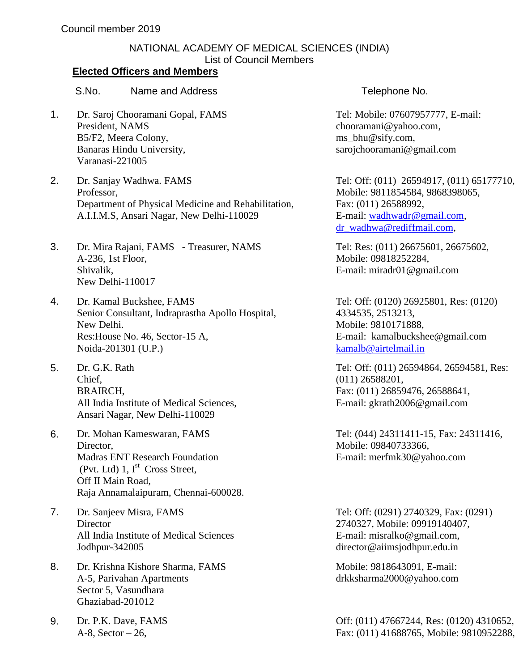## NATIONAL ACADEMY OF MEDICAL SCIENCES (INDIA) List of Council Members

## **Elected Officers and Members**

S.No. Name and Address Telephone No.

- 1. Dr. Saroj Chooramani Gopal, FAMS President, NAMS B5/F2, Meera Colony, Banaras Hindu University, Varanasi-221005
- 2. Dr. Sanjay Wadhwa. FAMS Professor, Department of Physical Medicine and Rehabilitation, A.I.I.M.S, Ansari Nagar, New Delhi-110029
- 3. Dr. Mira Rajani, FAMS Treasurer, NAMS A-236, 1st Floor, Shivalik, New Delhi-110017
- 4. Dr. Kamal Buckshee, FAMS Senior Consultant, Indraprastha Apollo Hospital, New Delhi. Res:House No. 46, Sector-15 A, Noida-201301 (U.P.)
- 5. Dr. G.K. Rath Chief, BRAIRCH, All India Institute of Medical Sciences, Ansari Nagar, New Delhi-110029
- 6. Dr. Mohan Kameswaran, FAMS Director, Madras ENT Research Foundation (Pvt. Ltd)  $1, I^{st}$  Cross Street, Off II Main Road, Raja Annamalaipuram, Chennai-600028.
- 7. Dr. Sanjeev Misra, FAMS **Director** All India Institute of Medical Sciences Jodhpur-342005
- 8. Dr. Krishna Kishore Sharma, FAMS A-5, Parivahan Apartments Sector 5, Vasundhara Ghaziabad-201012
- 9. Dr. P.K. Dave, FAMS A-8, Sector – 26,

Tel: Mobile: 07607957777, E-mail: [chooramani@yahoo.com,](mailto:chooramani@yahoo.com) [ms\\_bhu@sify.com,](mailto:ms_bhu@sify.com) sarojchooramani@gmail.com

Tel: Off: (011) 26594917, (011) 65177710, Mobile: 9811854584, 9868398065, Fax: (011) 26588992, E-mail: [wadhwadr@gmail.com,](mailto:wadhwadr@gmail.com) [dr\\_wadhwa@rediffmail.com,](mailto:dr_wadhwa@rediffmail.com)

Tel: Res: (011) 26675601, 26675602, Mobile: 09818252284, E-mail: miradr01@gmail.com

Tel: Off: (0120) 26925801, Res: (0120) 4334535, 2513213, Mobile: 9810171888, E-mail: [kamalbuckshee@gmail.com](mailto:kamalbuckshee@gmail.com) [kamalb@airtelmail.in](mailto:kamalb@airtelmail.in)

Tel: Off: (011) 26594864, 26594581, Res: (011) 26588201, Fax: (011) 26859476, 26588641, E-mail: gkrath2006@gmail.com

Tel: (044) 24311411-15, Fax: 24311416, Mobile: 09840733366, E-mail: [merfmk30@yahoo.com](mailto:merfmk30@yahoo.com)

Tel: Off: (0291) 2740329, Fax: (0291) 2740327, Mobile: 09919140407, E-mail: [misralko@gmail.com,](mailto:misralko@gmail.com,) director@aiimsjodhpur.edu.in

Mobile: 9818643091, E-mail: [drkksharma2000@yahoo.com](mailto:drkksharma2000@yahoo.com)

Off: (011) 47667244, Res: (0120) 4310652, Fax: (011) 41688765, Mobile: 9810952288,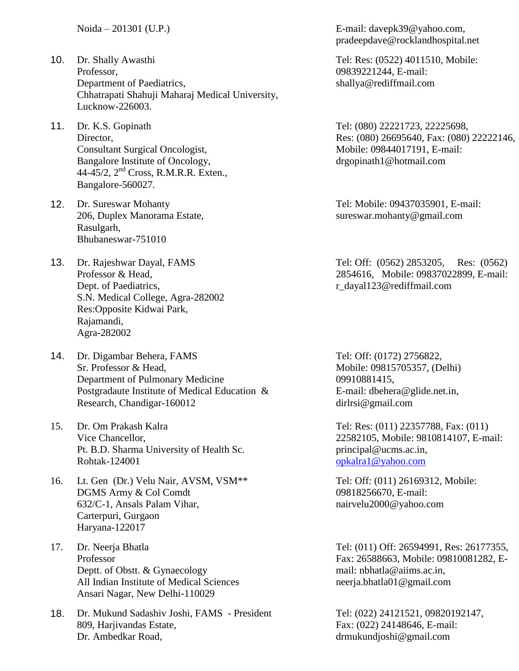- 10. Dr. Shally Awasthi Professor, Department of Paediatrics, Chhatrapati Shahuji Maharaj Medical University, Lucknow-226003.
- 11. Dr. K.S. Gopinath Director, Consultant Surgical Oncologist, Bangalore Institute of Oncology, 44-45/2, 2nd Cross, R.M.R.R. Exten., Bangalore-560027.
- 12. Dr. Sureswar Mohanty 206, Duplex Manorama Estate, Rasulgarh, Bhubaneswar-751010
- 13. Dr. Rajeshwar Dayal, FAMS Professor & Head, Dept. of Paediatrics, S.N. Medical College, Agra-282002 Res:Opposite Kidwai Park, Rajamandi, Agra-282002
- 14. Dr. Digambar Behera, FAMS Sr. Professor & Head, Department of Pulmonary Medicine Postgradaute Institute of Medical Education & Research, Chandigar-160012
- 15. Dr. Om Prakash Kalra Vice Chancellor, Pt. B.D. Sharma University of Health Sc. Rohtak-124001
- 16. Lt. Gen (Dr.) Velu Nair, AVSM, VSM\*\* DGMS Army & Col Comdt 632/C-1, Ansals Palam Vihar, Carterpuri, Gurgaon Haryana-122017
- 17. Dr. Neerja Bhatla Professor Deptt. of Obstt. & Gynaecology All Indian Institute of Medical Sciences Ansari Nagar, New Delhi-110029
- 18. Dr. Mukund Sadashiv Joshi, FAMS President 809, Harjivandas Estate, Dr. Ambedkar Road,

Noida – 201301 (U.P.) E-mail: [davepk39@yahoo.com,](mailto:rocklandhospital@yahoo.co.in) [pradeepdave@rocklandhospital.net](mailto:pradeepdave@rocklandhospital.net)

> Tel: Res: (0522) 4011510, Mobile: 09839221244, E-mail: [shallya@rediffmail.com](mailto:shallya@rediffmail.com)

Tel: (080) 22221723, 22225698, Res: (080) 26695640, Fax: (080) 22222146, Mobile: 09844017191, E-mail: [drgopinath1@hotmail.com](mailto:drgopinath1@hotmail.com)

Tel: Mobile: 09437035901, E-mail: [sureswar.mohanty@gmail.com](mailto:sureswar.mohanty@gmail.com)

Tel: Off: (0562) 2853205, Res: (0562) 2854616, Mobile: 09837022899, E-mail: r\_dayal123@rediffmail.com

Tel: Off: (0172) 2756822, Mobile: 09815705357, (Delhi) 09910881415, E-mail: [dbehera@glide.net.in,](mailto:dbehera@glide.net.in) dirlrsi@gmail.com

Tel: Res: (011) 22357788, Fax: (011) 22582105, Mobile: 9810814107, E-mail: [principal@ucms.ac.in,](mailto:principal@ucms.ac.in) [opkalra1@yahoo.com](mailto:opkalra1@yahoo.com)

Tel: Off: (011) 26169312, Mobile: 09818256670, E-mail: [nairvelu2000@yahoo.com](mailto:nairvelu2000@yahoo.com)

Tel: (011) Off: 26594991, Res: 26177355, Fax: 26588663, Mobile: 09810081282, Email: [nbhatla@aiims.ac.in,](mailto:nbhatla@aiims.ac.in) neerja.bhatla01@gmail.com

Tel: (022) 24121521, 09820192147, Fax: (022) 24148646, E-mail: drmukundjoshi@gmail.com